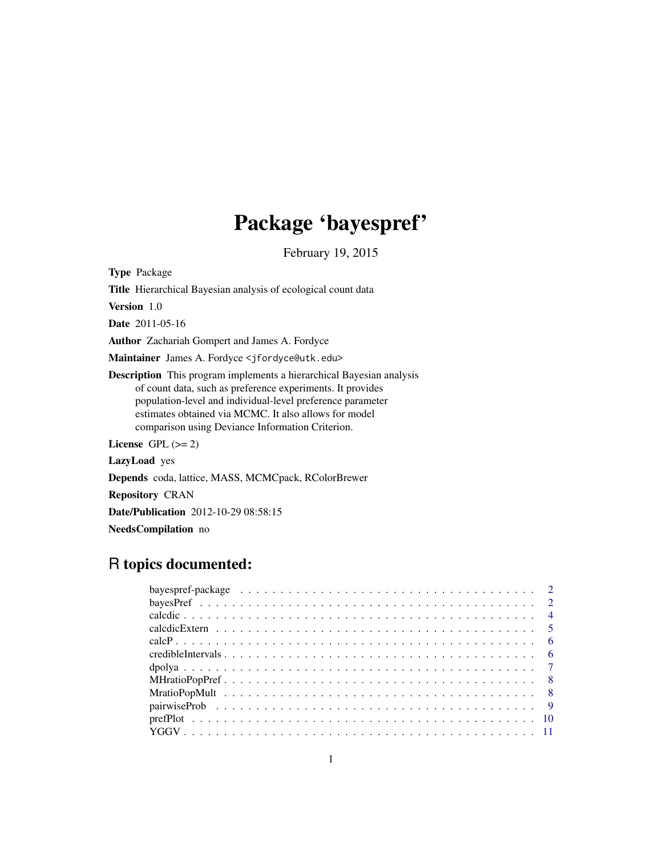# Package 'bayespref'

February 19, 2015

Type Package

Title Hierarchical Bayesian analysis of ecological count data Version 1.0 Date 2011-05-16 Author Zachariah Gompert and James A. Fordyce Maintainer James A. Fordyce <jfordyce@utk.edu> Description This program implements a hierarchical Bayesian analysis of count data, such as preference experiments. It provides population-level and individual-level preference parameter estimates obtained via MCMC. It also allows for model comparison using Deviance Information Criterion. License GPL  $(>= 2)$ LazyLoad yes Depends coda, lattice, MASS, MCMCpack, RColorBrewer Repository CRAN Date/Publication 2012-10-29 08:58:15 NeedsCompilation no

# R topics documented:

| bayespref-package $\ldots \ldots \ldots \ldots \ldots \ldots \ldots \ldots \ldots \ldots \ldots \ldots \ldots$ |  |  |  |  |  |  |  |  |  |  |  |  |  |  |  |  |  |  |  |  |
|----------------------------------------------------------------------------------------------------------------|--|--|--|--|--|--|--|--|--|--|--|--|--|--|--|--|--|--|--|--|
|                                                                                                                |  |  |  |  |  |  |  |  |  |  |  |  |  |  |  |  |  |  |  |  |
|                                                                                                                |  |  |  |  |  |  |  |  |  |  |  |  |  |  |  |  |  |  |  |  |
|                                                                                                                |  |  |  |  |  |  |  |  |  |  |  |  |  |  |  |  |  |  |  |  |
|                                                                                                                |  |  |  |  |  |  |  |  |  |  |  |  |  |  |  |  |  |  |  |  |
|                                                                                                                |  |  |  |  |  |  |  |  |  |  |  |  |  |  |  |  |  |  |  |  |
|                                                                                                                |  |  |  |  |  |  |  |  |  |  |  |  |  |  |  |  |  |  |  |  |
|                                                                                                                |  |  |  |  |  |  |  |  |  |  |  |  |  |  |  |  |  |  |  |  |
|                                                                                                                |  |  |  |  |  |  |  |  |  |  |  |  |  |  |  |  |  |  |  |  |
|                                                                                                                |  |  |  |  |  |  |  |  |  |  |  |  |  |  |  |  |  |  |  |  |
|                                                                                                                |  |  |  |  |  |  |  |  |  |  |  |  |  |  |  |  |  |  |  |  |
|                                                                                                                |  |  |  |  |  |  |  |  |  |  |  |  |  |  |  |  |  |  |  |  |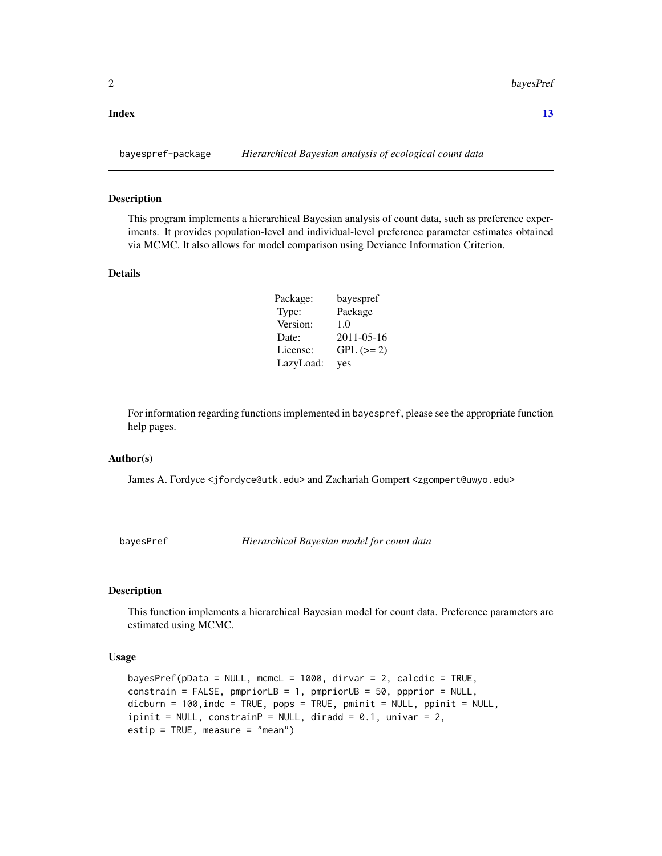#### <span id="page-1-0"></span>**Index** [13](#page-12-0)

bayespref-package *Hierarchical Bayesian analysis of ecological count data*

#### Description

This program implements a hierarchical Bayesian analysis of count data, such as preference experiments. It provides population-level and individual-level preference parameter estimates obtained via MCMC. It also allows for model comparison using Deviance Information Criterion.

#### Details

| Package:  | bayespref   |
|-----------|-------------|
| Type:     | Package     |
| Version:  | 1.0         |
| Date:     | 2011-05-16  |
| License:  | $GPL (= 2)$ |
| LazyLoad: | yes         |

For information regarding functions implemented in bayespref, please see the appropriate function help pages.

#### Author(s)

James A. Fordyce <jfordyce@utk.edu> and Zachariah Gompert <zgompert@uwyo.edu>

bayesPref *Hierarchical Bayesian model for count data*

#### Description

This function implements a hierarchical Bayesian model for count data. Preference parameters are estimated using MCMC.

#### Usage

```
bayesPref(pData = NULL, mcmcL = 1000, dirvar = 2, calcdic = TRUE,
constrain = FALSE, pmpriorLB = 1, pmpriorUB = 50, ppprior = NULL,
dicburn = 100, indc = TRUE, pops = TRUE, pminit = NULL, ppinit = NULL,
ipinit = NULL, constrainP = NULL, diradd = 0.1, univar = 2,
estip = TRUE, measure = "mean")
```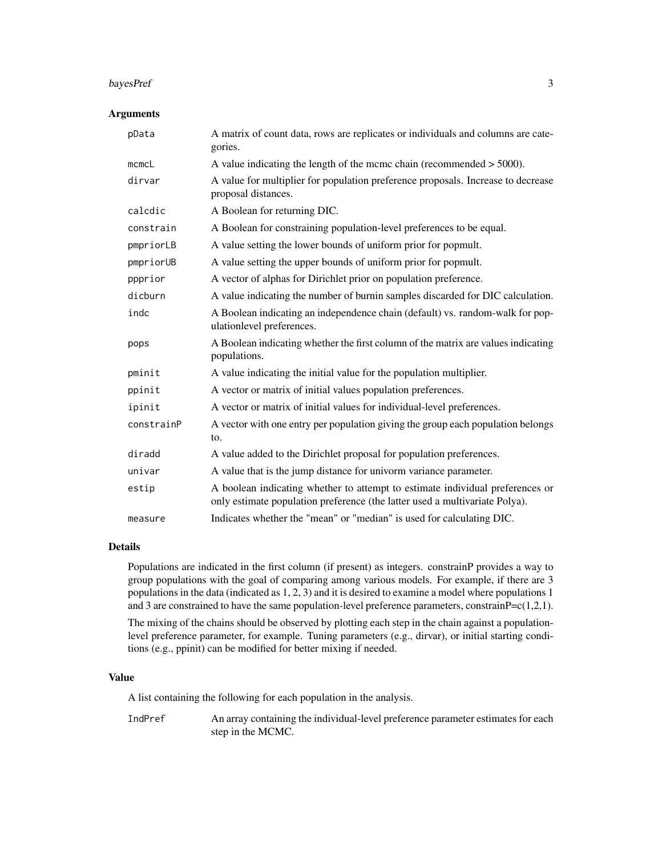#### bayesPref 3

#### Arguments

| pData       | A matrix of count data, rows are replicates or individuals and columns are cate-<br>gories.                                                                  |
|-------------|--------------------------------------------------------------------------------------------------------------------------------------------------------------|
| $m$ cmc $L$ | A value indicating the length of the mcmc chain (recommended $>$ 5000).                                                                                      |
| dirvar      | A value for multiplier for population preference proposals. Increase to decrease<br>proposal distances.                                                      |
| calcdic     | A Boolean for returning DIC.                                                                                                                                 |
| constrain   | A Boolean for constraining population-level preferences to be equal.                                                                                         |
| pmpriorLB   | A value setting the lower bounds of uniform prior for popmult.                                                                                               |
| pmpriorUB   | A value setting the upper bounds of uniform prior for popmult.                                                                                               |
| ppprior     | A vector of alphas for Dirichlet prior on population preference.                                                                                             |
| dicburn     | A value indicating the number of burnin samples discarded for DIC calculation.                                                                               |
| indc        | A Boolean indicating an independence chain (default) vs. random-walk for pop-<br>ulationlevel preferences.                                                   |
| pops        | A Boolean indicating whether the first column of the matrix are values indicating<br>populations.                                                            |
| pminit      | A value indicating the initial value for the population multiplier.                                                                                          |
| ppinit      | A vector or matrix of initial values population preferences.                                                                                                 |
| ipinit      | A vector or matrix of initial values for individual-level preferences.                                                                                       |
| constrainP  | A vector with one entry per population giving the group each population belongs<br>to.                                                                       |
| diradd      | A value added to the Dirichlet proposal for population preferences.                                                                                          |
| univar      | A value that is the jump distance for univorm variance parameter.                                                                                            |
| estip       | A boolean indicating whether to attempt to estimate individual preferences or<br>only estimate population preference (the latter used a multivariate Polya). |
| measure     | Indicates whether the "mean" or "median" is used for calculating DIC.                                                                                        |

# Details

Populations are indicated in the first column (if present) as integers. constrainP provides a way to group populations with the goal of comparing among various models. For example, if there are 3 populations in the data (indicated as 1, 2, 3) and it is desired to examine a model where populations 1 and 3 are constrained to have the same population-level preference parameters, constrain $P=c(1,2,1)$ .

The mixing of the chains should be observed by plotting each step in the chain against a populationlevel preference parameter, for example. Tuning parameters (e.g., dirvar), or initial starting conditions (e.g., ppinit) can be modified for better mixing if needed.

# Value

A list containing the following for each population in the analysis.

IndPref An array containing the individual-level preference parameter estimates for each step in the MCMC.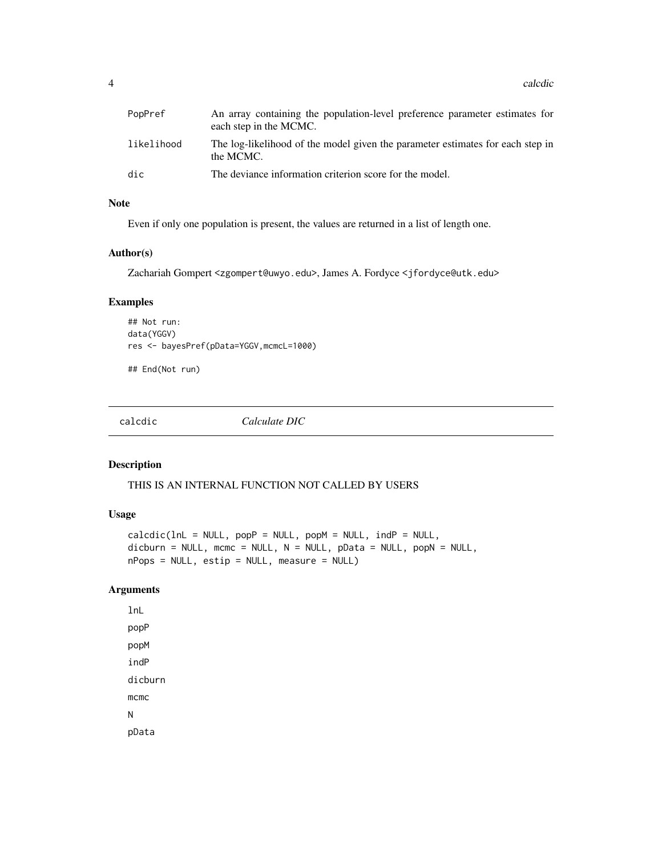<span id="page-3-0"></span>4 calculation and the contract of the contract of the calculation of the calculation of the calculation of the contract of the contract of the contract of the contract of the contract of the contract of the contract of the

| PopPref    | An array containing the population-level preference parameter estimates for<br>each step in the MCMC. |
|------------|-------------------------------------------------------------------------------------------------------|
| likelihood | The log-likelihood of the model given the parameter estimates for each step in<br>the MCMC.           |
| dic        | The deviance information criterion score for the model.                                               |

# Note

Even if only one population is present, the values are returned in a list of length one.

#### Author(s)

Zachariah Gompert <zgompert@uwyo.edu>, James A. Fordyce <jfordyce@utk.edu>

# Examples

```
## Not run:
data(YGGV)
res <- bayesPref(pData=YGGV,mcmcL=1000)
```
## End(Not run)

calcdic *Calculate DIC*

# Description

THIS IS AN INTERNAL FUNCTION NOT CALLED BY USERS

# Usage

```
calcdic(lnL = NULL, popP = NULL, popM = NULL, indP = NULL,dichurn = NULL, mcmc = NULL, N = NULL, pData = NULL, popN = NULL,nPops = NULL, estip = NULL, measure = NULL)
```
# Arguments

lnL popP popM indP dicburn mcmc N pData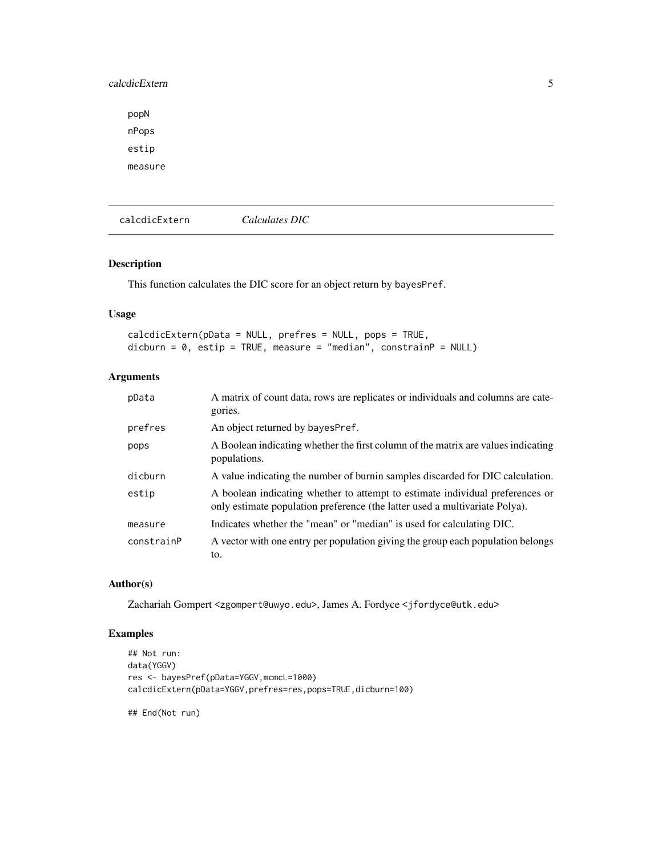# <span id="page-4-0"></span>calcdicExtern 5

popN nPops estip measure

calcdicExtern *Calculates DIC*

# Description

This function calculates the DIC score for an object return by bayesPref.

# Usage

calcdicExtern(pData = NULL, prefres = NULL, pops = TRUE, dicburn = 0, estip = TRUE, measure = "median", constrainP = NULL)

# Arguments

| pData      | A matrix of count data, rows are replicates or individuals and columns are cate-<br>gories.                                                                  |
|------------|--------------------------------------------------------------------------------------------------------------------------------------------------------------|
| prefres    | An object returned by bayesPref.                                                                                                                             |
| pops       | A Boolean indicating whether the first column of the matrix are values indicating<br>populations.                                                            |
| dicburn    | A value indicating the number of burnin samples discarded for DIC calculation.                                                                               |
| estip      | A boolean indicating whether to attempt to estimate individual preferences or<br>only estimate population preference (the latter used a multivariate Polya). |
| measure    | Indicates whether the "mean" or "median" is used for calculating DIC.                                                                                        |
| constrainP | A vector with one entry per population giving the group each population belongs<br>to.                                                                       |

### Author(s)

Zachariah Gompert <zgompert@uwyo.edu>, James A. Fordyce <jfordyce@utk.edu>

# Examples

```
## Not run:
data(YGGV)
res <- bayesPref(pData=YGGV,mcmcL=1000)
calcdicExtern(pData=YGGV,prefres=res,pops=TRUE,dicburn=100)
```
## End(Not run)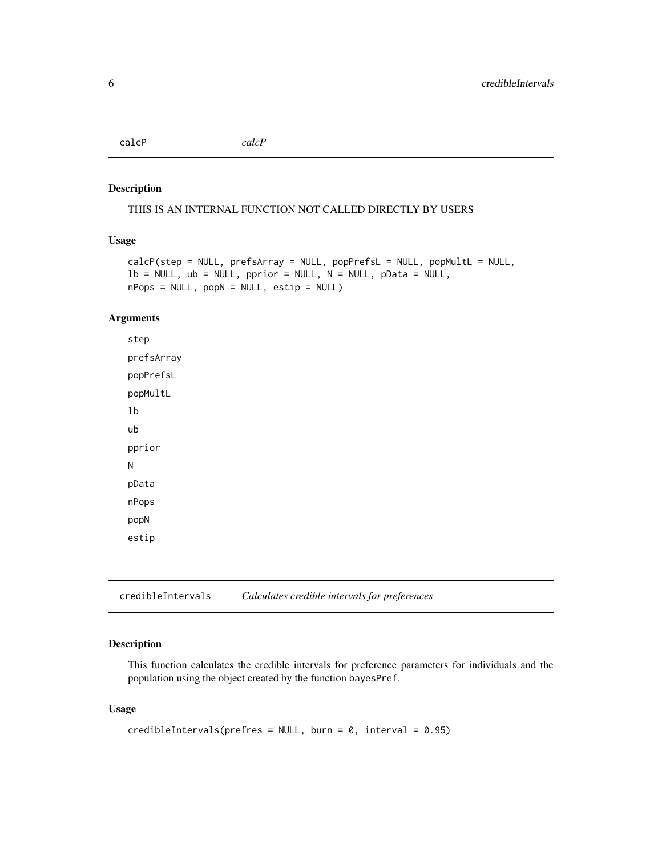<span id="page-5-0"></span>calcP *calcP*

#### Description

THIS IS AN INTERNAL FUNCTION NOT CALLED DIRECTLY BY USERS

# Usage

```
calcP(step = NULL, prefsArray = NULL, popPrefsL = NULL, popMultL = NULL,
lb = NULL, ub = NULL, pprior = NULL, N = NULL, pData = NULL,
nPops = NULL, popN = NULL, estip = NULL
```
#### Arguments

step prefsArray popPrefsL popMultL lb ub pprior N pData nPops popN estip

credibleIntervals *Calculates credible intervals for preferences*

#### Description

This function calculates the credible intervals for preference parameters for individuals and the population using the object created by the function bayesPref.

# Usage

```
credibleIntervals(prefres = NULL, burn = 0, interval = 0.95)
```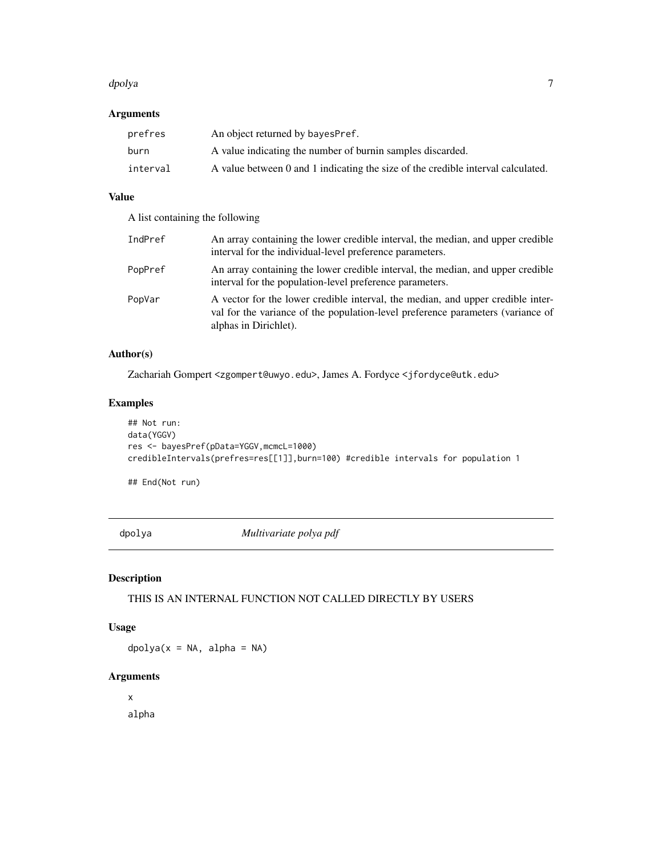#### <span id="page-6-0"></span>dpolya **7** and 2008 and 2008 and 2008 and 2008 and 2008 and 2008 and 2008 and 2008 and 2008 and 2008 and 2008 and 2008 and 2008 and 2008 and 2008 and 2008 and 2008 and 2008 and 2008 and 2008 and 2008 and 2008 and 2008 and

# Arguments

| prefres  | An object returned by bayes Pref.                                                |
|----------|----------------------------------------------------------------------------------|
| burn     | A value indicating the number of burnin samples discarded.                       |
| interval | A value between 0 and 1 indicating the size of the credible interval calculated. |

# Value

A list containing the following

| IndPref | An array containing the lower credible interval, the median, and upper credible<br>interval for the individual-level preference parameters.                                                 |
|---------|---------------------------------------------------------------------------------------------------------------------------------------------------------------------------------------------|
| PopPref | An array containing the lower credible interval, the median, and upper credible<br>interval for the population-level preference parameters.                                                 |
| PopVar  | A vector for the lower credible interval, the median, and upper credible inter-<br>val for the variance of the population-level preference parameters (variance of<br>alphas in Dirichlet). |

# Author(s)

Zachariah Gompert <zgompert@uwyo.edu>, James A. Fordyce <jfordyce@utk.edu>

# Examples

```
## Not run:
data(YGGV)
res <- bayesPref(pData=YGGV,mcmcL=1000)
credibleIntervals(prefres=res[[1]],burn=100) #credible intervals for population 1
```
## End(Not run)

dpolya *Multivariate polya pdf*

# Description

THIS IS AN INTERNAL FUNCTION NOT CALLED DIRECTLY BY USERS

# Usage

 $dpolya(x = NA, alpha = NA)$ 

# Arguments

x alpha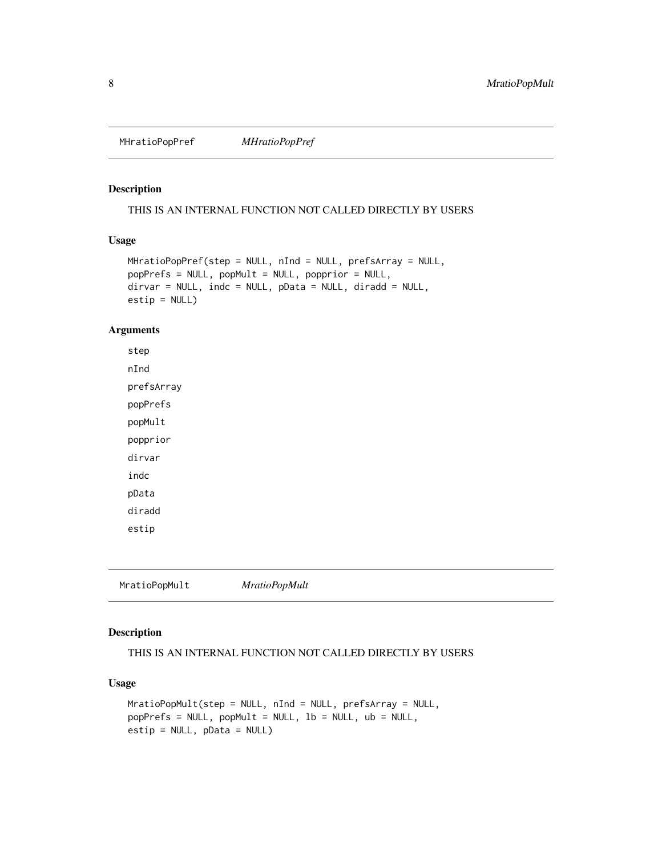<span id="page-7-0"></span>MHratioPopPref *MHratioPopPref*

# Description

THIS IS AN INTERNAL FUNCTION NOT CALLED DIRECTLY BY USERS

# Usage

```
MHratioPopPref(step = NULL, nInd = NULL, prefsArray = NULL,
popPrefs = NULL, popMult = NULL, popprior = NULL,
dirvar = NULL, indc = NULL, pData = NULL, diradd = NULL,
estip = NULL)
```
# Arguments

step nInd prefsArray popPrefs popMult popprior dirvar indc pData diradd estip

MratioPopMult *MratioPopMult*

# Description

THIS IS AN INTERNAL FUNCTION NOT CALLED DIRECTLY BY USERS

# Usage

```
MratioPopMult(step = NULL, nInd = NULL, prefsArray = NULL,
popPrefs = NULL, popMult = NULL, lb = NULL, ub = NULL,
estip = NULL, pData = NULL)
```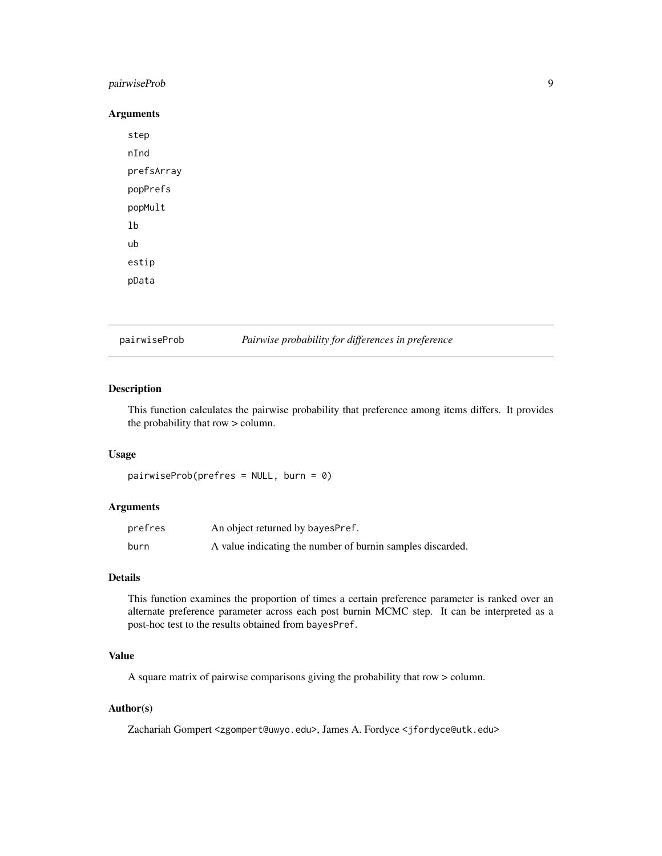# <span id="page-8-0"></span>pairwiseProb 9

#### Arguments

step nInd prefsArray popPrefs popMult lb ub estip pData

pairwiseProb *Pairwise probability for differences in preference*

#### Description

This function calculates the pairwise probability that preference among items differs. It provides the probability that row > column.

#### Usage

```
pairwiseProb(prefres = NULL, burn = 0)
```
#### Arguments

| prefres | An object returned by bayesPref.                           |
|---------|------------------------------------------------------------|
| burn    | A value indicating the number of burnin samples discarded. |

# Details

This function examines the proportion of times a certain preference parameter is ranked over an alternate preference parameter across each post burnin MCMC step. It can be interpreted as a post-hoc test to the results obtained from bayesPref.

# Value

A square matrix of pairwise comparisons giving the probability that row > column.

# Author(s)

Zachariah Gompert <zgompert@uwyo.edu>, James A. Fordyce <jfordyce@utk.edu>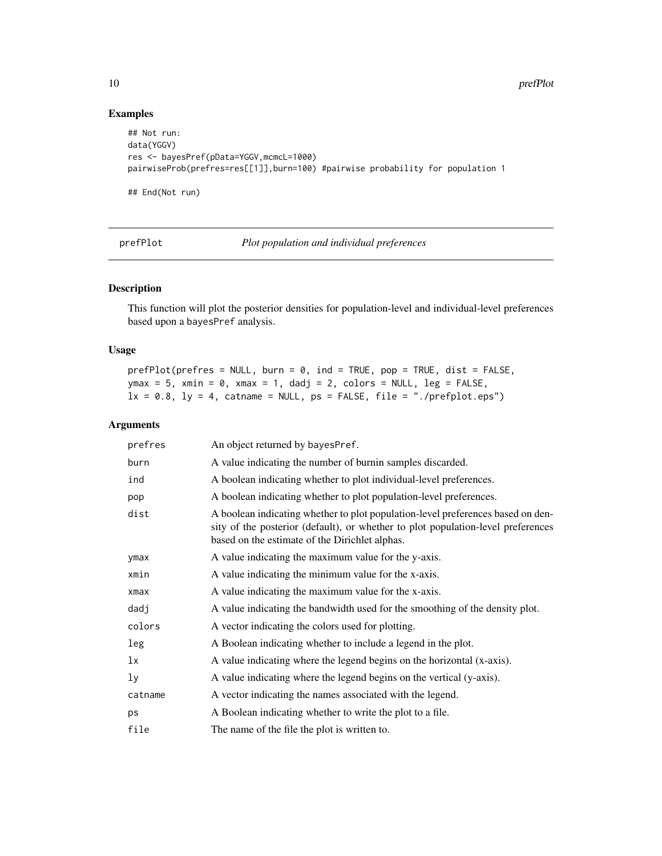# Examples

```
## Not run:
data(YGGV)
res <- bayesPref(pData=YGGV,mcmcL=1000)
pairwiseProb(prefres=res[[1]],burn=100) #pairwise probability for population 1
## End(Not run)
```
prefPlot *Plot population and individual preferences*

# Description

This function will plot the posterior densities for population-level and individual-level preferences based upon a bayesPref analysis.

#### Usage

```
prefPlot(prefres = NULL, burn = 0, ind = TRUE, pop = TRUE, dist = FALSE,ymax = 5, xmin = 0, xmax = 1, dadj = 2, colors = NULL, leg = FALSE,
lx = 0.8, ly = 4, catname = NULL, ps = FALSE, file = "./prefplot.eps")
```
#### Arguments

| prefres        | An object returned by bayesPref.                                                                                                                                                                                      |
|----------------|-----------------------------------------------------------------------------------------------------------------------------------------------------------------------------------------------------------------------|
| burn           | A value indicating the number of burnin samples discarded.                                                                                                                                                            |
| ind            | A boolean indicating whether to plot individual-level preferences.                                                                                                                                                    |
| pop            | A boolean indicating whether to plot population-level preferences.                                                                                                                                                    |
| dist           | A boolean indicating whether to plot population-level preferences based on den-<br>sity of the posterior (default), or whether to plot population-level preferences<br>based on the estimate of the Dirichlet alphas. |
| ymax           | A value indicating the maximum value for the y-axis.                                                                                                                                                                  |
| xmin           | A value indicating the minimum value for the x-axis.                                                                                                                                                                  |
| $x$ ma $x$     | A value indicating the maximum value for the x-axis.                                                                                                                                                                  |
| dadj           | A value indicating the bandwidth used for the smoothing of the density plot.                                                                                                                                          |
| colors         | A vector indicating the colors used for plotting.                                                                                                                                                                     |
| leg            | A Boolean indicating whether to include a legend in the plot.                                                                                                                                                         |
| 1x             | A value indicating where the legend begins on the horizontal (x-axis).                                                                                                                                                |
| 1 <sub>y</sub> | A value indicating where the legend begins on the vertical (y-axis).                                                                                                                                                  |
| catname        | A vector indicating the names associated with the legend.                                                                                                                                                             |
| ps             | A Boolean indicating whether to write the plot to a file.                                                                                                                                                             |
| file           | The name of the file the plot is written to.                                                                                                                                                                          |

<span id="page-9-0"></span>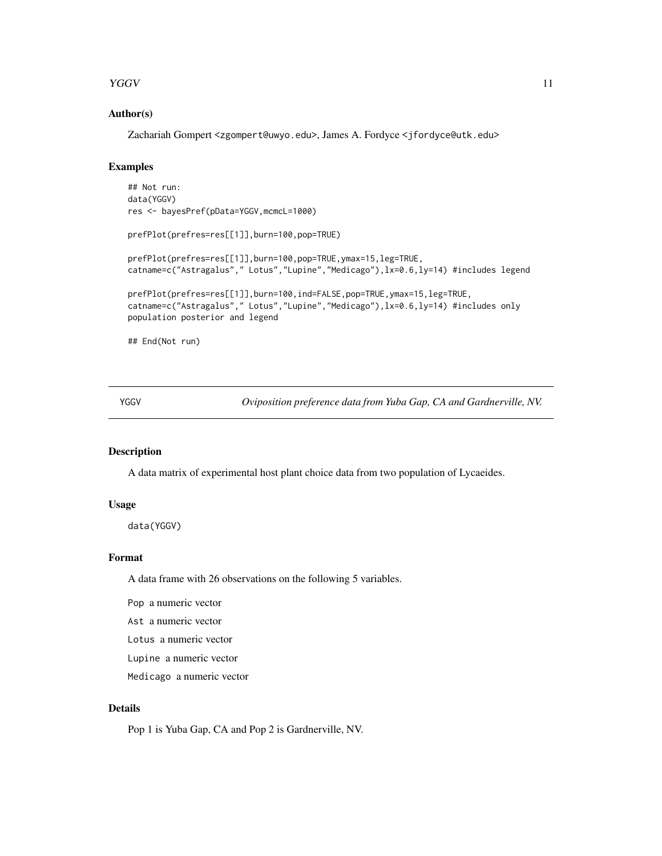#### <span id="page-10-0"></span>YGGV 11

#### Author(s)

Zachariah Gompert <zgompert@uwyo.edu>, James A. Fordyce <jfordyce@utk.edu>

# Examples

```
## Not run:
data(YGGV)
res <- bayesPref(pData=YGGV,mcmcL=1000)
prefPlot(prefres=res[[1]],burn=100,pop=TRUE)
prefPlot(prefres=res[[1]],burn=100,pop=TRUE,ymax=15,leg=TRUE,
catname=c("Astragalus"," Lotus","Lupine","Medicago"),lx=0.6,ly=14) #includes legend
prefPlot(prefres=res[[1]],burn=100,ind=FALSE,pop=TRUE,ymax=15,leg=TRUE,
catname=c("Astragalus"," Lotus","Lupine","Medicago"),lx=0.6,ly=14) #includes only
population posterior and legend
## End(Not run)
```
YGGV *Oviposition preference data from Yuba Gap, CA and Gardnerville, NV.*

# Description

A data matrix of experimental host plant choice data from two population of Lycaeides.

#### Usage

data(YGGV)

### Format

A data frame with 26 observations on the following 5 variables.

Pop a numeric vector

Ast a numeric vector

Lotus a numeric vector

Lupine a numeric vector

Medicago a numeric vector

# Details

Pop 1 is Yuba Gap, CA and Pop 2 is Gardnerville, NV.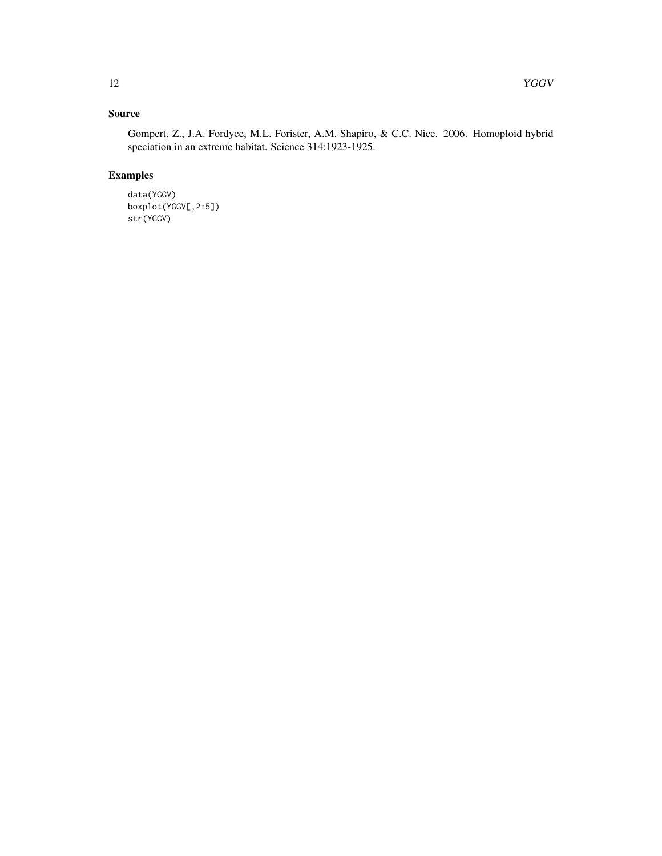# Source

Gompert, Z., J.A. Fordyce, M.L. Forister, A.M. Shapiro, & C.C. Nice. 2006. Homoploid hybrid speciation in an extreme habitat. Science 314:1923-1925.

# Examples

data(YGGV) boxplot(YGGV[,2:5]) str(YGGV)